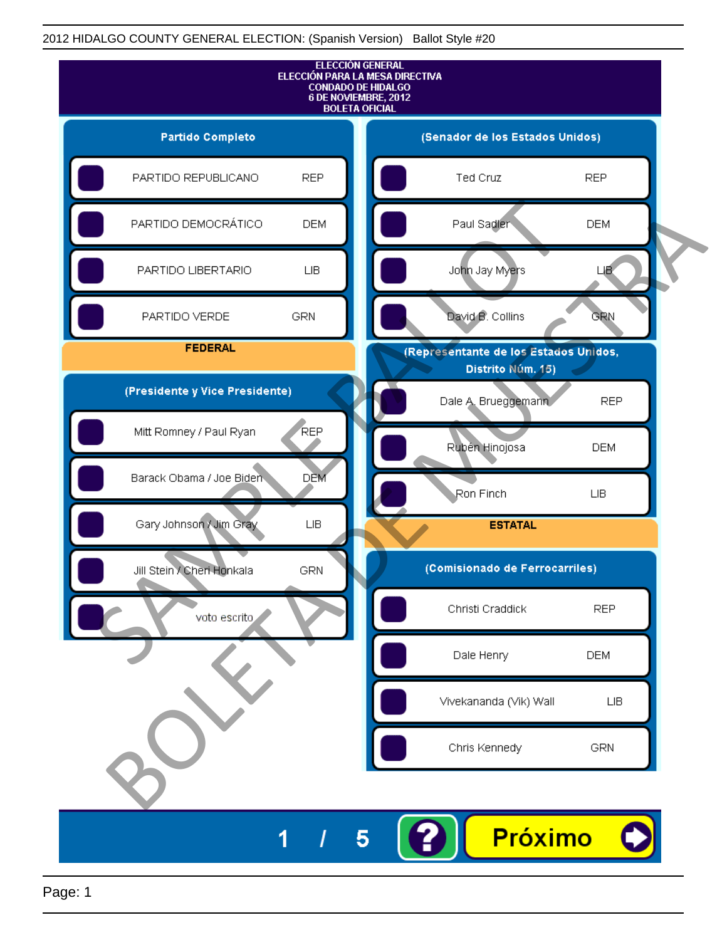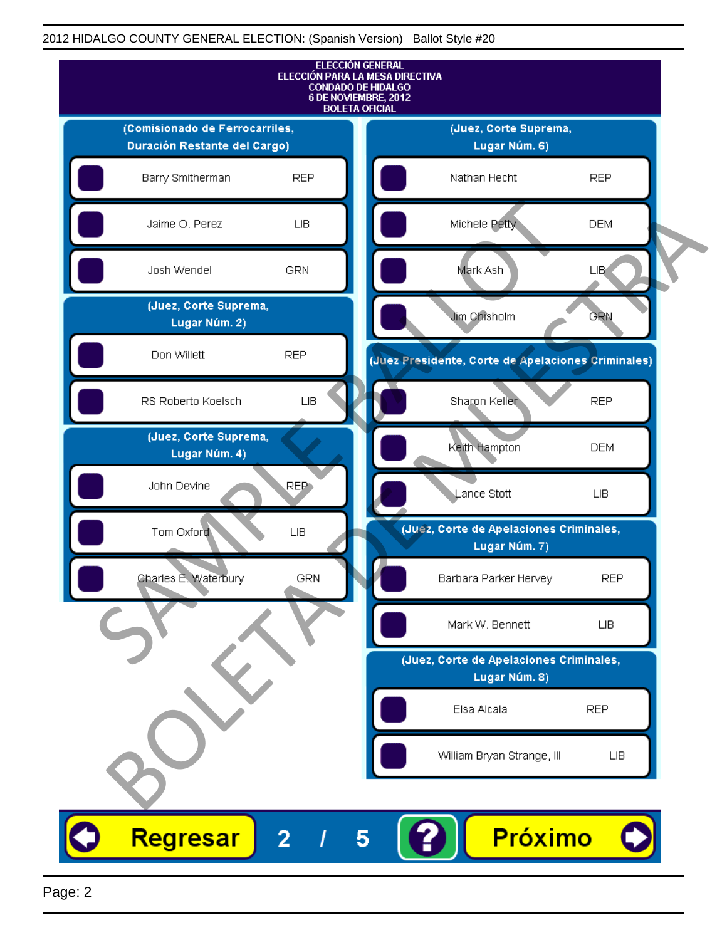

Page: 2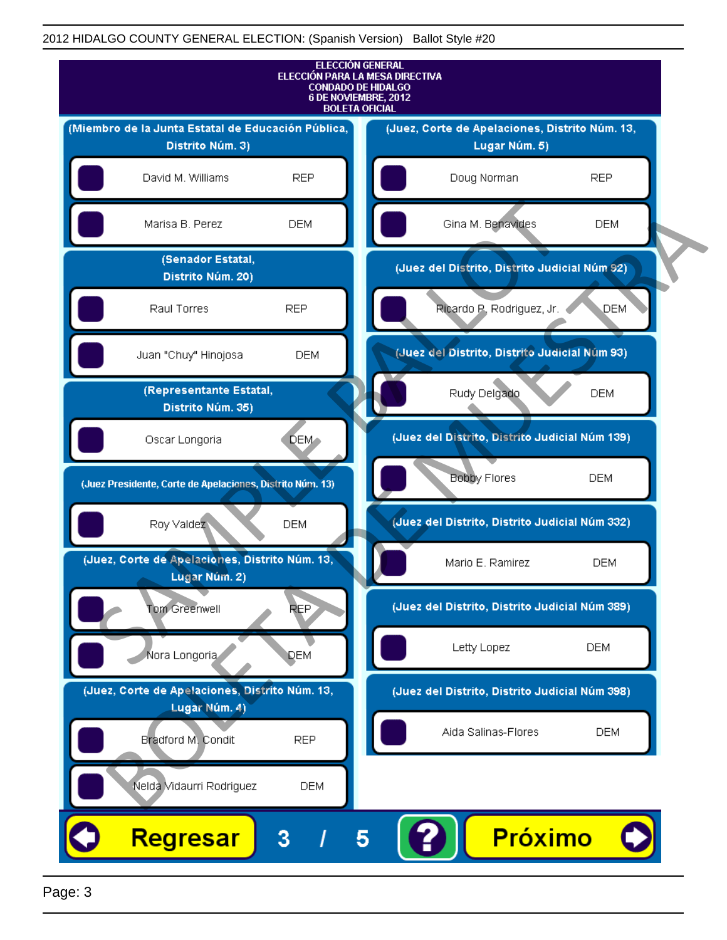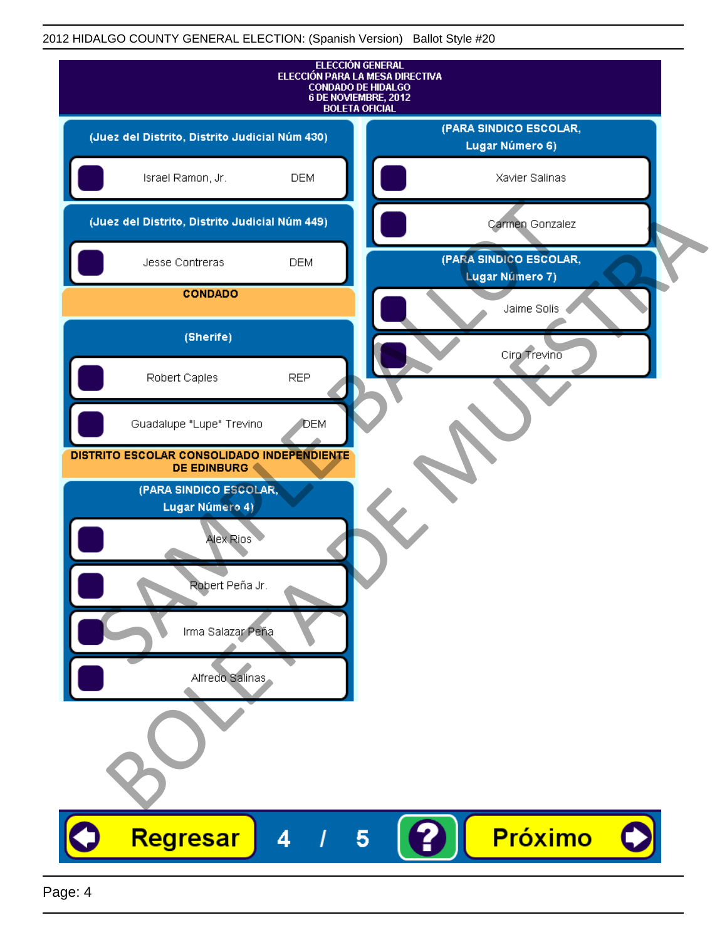| <b>ELECCIÓN GENERAL</b><br>ELECCIÓN PARA LA MESA DIRECTIVA<br><b>CONDADO DE HIDALGO</b><br>6 DE NOVIEMBRE, 2012<br><b>BOLETA OFICIAL</b> |                                           |
|------------------------------------------------------------------------------------------------------------------------------------------|-------------------------------------------|
| (Juez del Distrito, Distrito Judicial Núm 430)                                                                                           | (PARA SINDICO ESCOLAR,<br>Lugar Número 6) |
| Israel Ramon, Jr.<br><b>DEM</b>                                                                                                          | Xavier Salinas                            |
| (Juez del Distrito, Distrito Judicial Núm 449)                                                                                           | Carmen Gonzalez                           |
| Jesse Contreras<br><b>DEM</b>                                                                                                            | (PARA SINDICO ESCOLAR,<br>Lugar Número 7) |
| <b>CONDADO</b>                                                                                                                           | Jaime Solis                               |
| (Sherife)                                                                                                                                | Ciro Trevino                              |
| Robert Caples<br><b>REP</b>                                                                                                              |                                           |
| Guadalupe "Lupe" Trevino<br><b>J</b> DEM                                                                                                 |                                           |
| DISTRITO ESCOLAR CONSOLIDADO INDEPENDIENTE<br><b>DE EDINBURG</b>                                                                         |                                           |
| (PARA SINDICO ESCOLAR,<br>Lugar Número 4)                                                                                                |                                           |
| Alex Rios                                                                                                                                |                                           |
| Robert Pena Jr.                                                                                                                          |                                           |
|                                                                                                                                          |                                           |
| Irma Salazar Peña                                                                                                                        |                                           |
| Alfredo Salinas                                                                                                                          |                                           |
|                                                                                                                                          |                                           |
| Regresar<br>4                                                                                                                            | Próximo<br>5                              |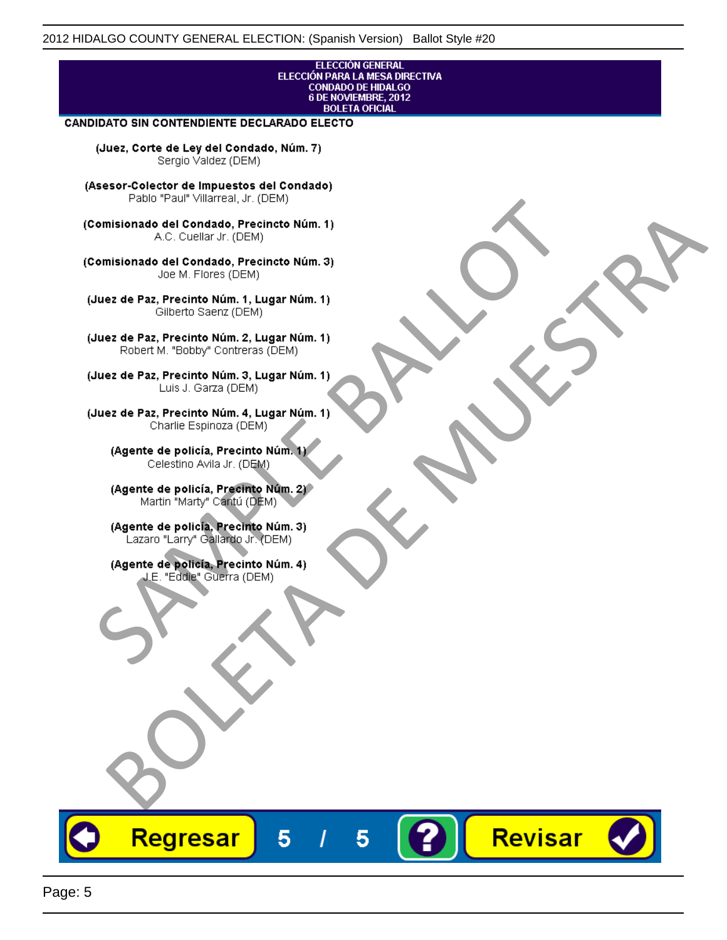#### **ELECCIÓN GENERAL** ELECCIÓN PARA LA MESA DIRECTIVA CONDADO DE HIDALGO<br>6 DE NOVIEMBRE, 2012 **BOLETA OFICIAL**

Revisar

### **CANDIDATO SIN CONTENDIENTE DECLARADO ELECTO**

(Juez, Corte de Ley del Condado, Núm. 7) Sergio Valdez (DEM)

(Asesor-Colector de Impuestos del Condado)

Fallo Fall Willdrea, J.I. (DEM)<br>
Consistionado el Condado, Precincto Núm. 1)<br>
A.C. Cuellar Jr. (DEM)<br>
Ullez de Paz, Precinto Núm. 1)<br>
Juez de Paz, Precinto Núm. 1, Lugar Núm. 1)<br>
Gilberto Sentr (DEM)<br>
Robert M. "Bobby" Con misionado del Condiado, Precincto Núm. 1)<br>
Andro del Condiado, Precincto Núm. 3)<br>
ez de Paz, Precinto Núm. 21<br>
algo M. Picer Lo Saerz, (CIEM)<br>
algo M. Picer Lo Saerz, (CIEM)<br>
algo M. Picer Lo Saerz, (CIEM)<br>
ez de Paz, Prec

Regresar

5

5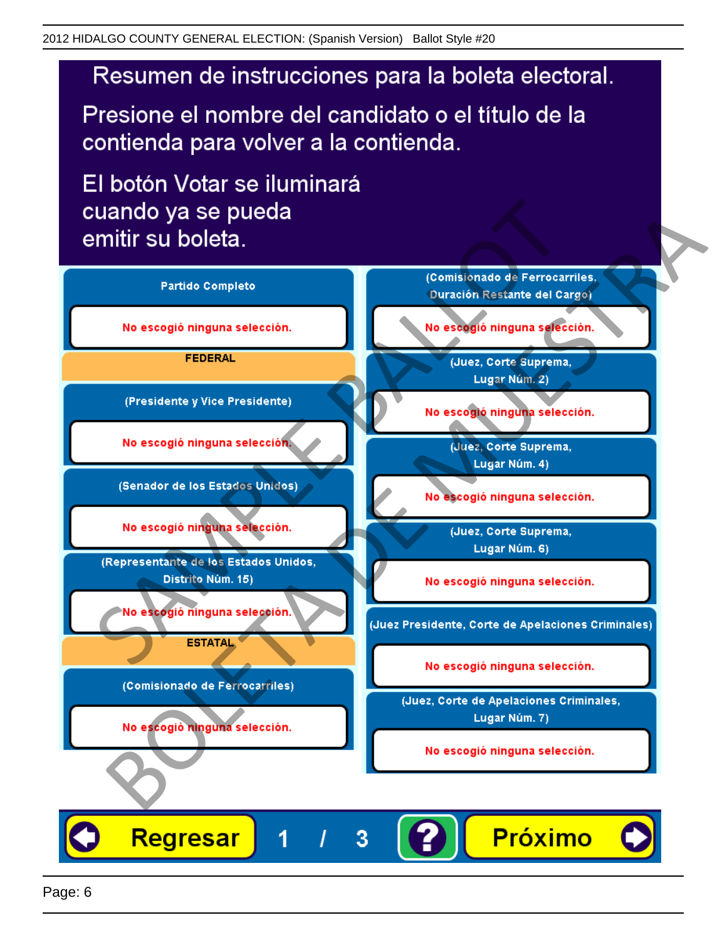# Resumen de instrucciones para la boleta electoral.

Presione el nombre del candidato o el título de la contienda para volver a la contienda.

El botón Votar se iluminará

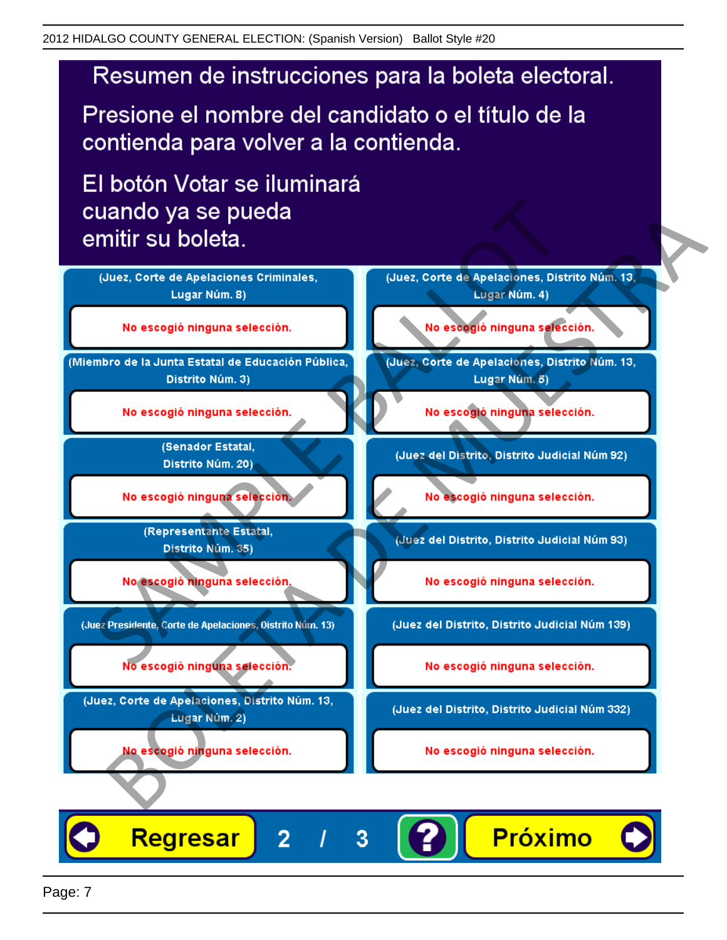# Resumen de instrucciones para la boleta electoral.

Presione el nombre del candidato o el título de la contienda para volver a la contienda.

El botón Votar se iluminará